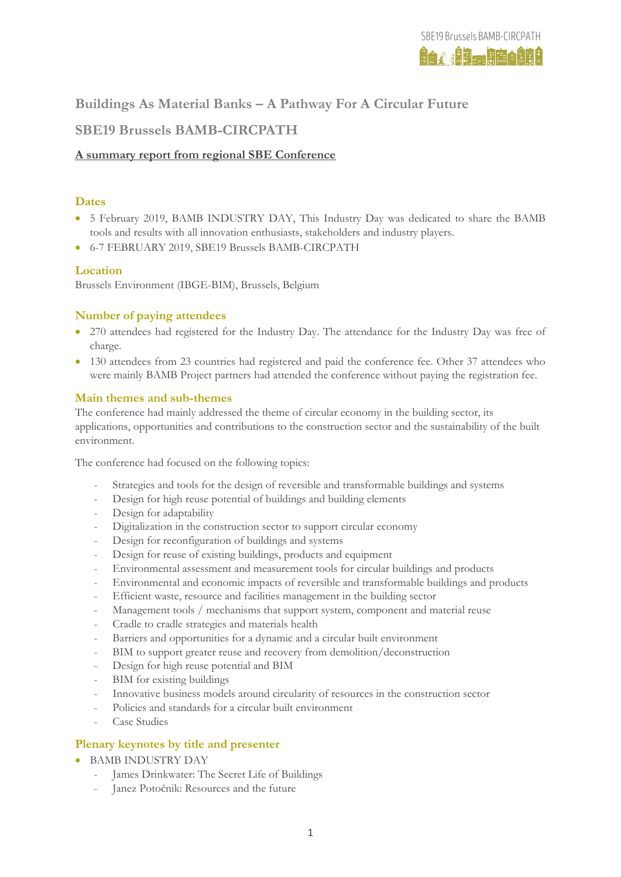# **Buildings As Material Banks – A Pathway For A Circular Future**

# **SBE19 Brussels BAMB-CIRCPATH**

# **A summary report from regional SBE Conference**

## **Dates**

- 5 February 2019, BAMB INDUSTRY DAY, This Industry Day was dedicated to share the BAMB tools and results with all innovation enthusiasts, stakeholders and industry players.
- 6-7 FEBRUARY 2019, SBE19 Brussels BAMB-CIRCPATH

# **Location**

Brussels Environment (IBGE-BIM), Brussels, Belgium

# **Number of paying attendees**

- 270 attendees had registered for the Industry Day. The attendance for the Industry Day was free of charge.
- 130 attendees from 23 countries had registered and paid the conference fee. Other 37 attendees who were mainly BAMB Project partners had attended the conference without paying the registration fee.

#### **Main themes and sub-themes**

The conference had mainly addressed the theme of circular economy in the building sector, its applications, opportunities and contributions to the construction sector and the sustainability of the built environment.

The conference had focused on the following topics:

- Strategies and tools for the design of reversible and transformable buildings and systems
- Design for high reuse potential of buildings and building elements
- Design for adaptability
- Digitalization in the construction sector to support circular economy
- Design for reconfiguration of buildings and systems
- Design for reuse of existing buildings, products and equipment
- Environmental assessment and measurement tools for circular buildings and products
- Environmental and economic impacts of reversible and transformable buildings and products
- Efficient waste, resource and facilities management in the building sector
- Management tools / mechanisms that support system, component and material reuse
- Cradle to cradle strategies and materials health
- Barriers and opportunities for a dynamic and a circular built environment
- BIM to support greater reuse and recovery from demolition/deconstruction
- Design for high reuse potential and BIM
- BIM for existing buildings
- Innovative business models around circularity of resources in the construction sector
- Policies and standards for a circular built environment
- Case Studies

## **Plenary keynotes by title and presenter**

- BAMB INDUSTRY DAY
	- James Drinkwater: The Secret Life of Buildings
	- Janez Potočnik: Resources and the future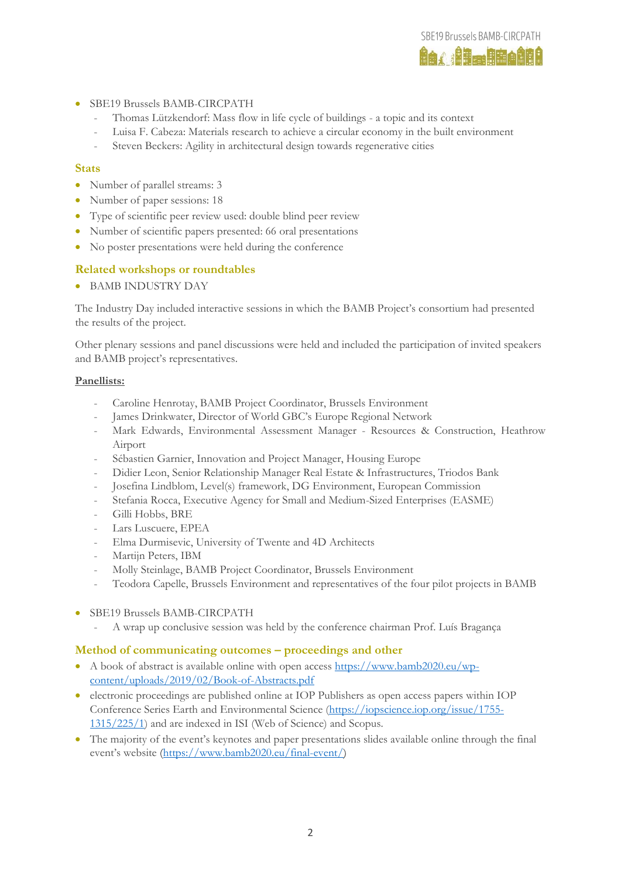- SBE19 Brussels BAMB-CIRCPATH
	- Thomas Lützkendorf: Mass flow in life cycle of buildings a topic and its context
	- Luisa F. Cabeza: Materials research to achieve a circular economy in the built environment

**SBE19 Brussels BAMB-CIRCPATH ier Bankergie** 

Steven Beckers: Agility in architectural design towards regenerative cities

#### **Stats**

- Number of parallel streams: 3
- Number of paper sessions: 18
- Type of scientific peer review used: double blind peer review
- Number of scientific papers presented: 66 oral presentations
- No poster presentations were held during the conference

## **Related workshops or roundtables**

BAMB INDUSTRY DAY

The Industry Day included interactive sessions in which the BAMB Project's consortium had presented the results of the project.

Other plenary sessions and panel discussions were held and included the participation of invited speakers and BAMB project's representatives.

#### **Panellists:**

- Caroline Henrotay, BAMB Project Coordinator, Brussels Environment
- James Drinkwater, Director of World GBC's Europe Regional Network
- Mark Edwards, Environmental Assessment Manager Resources & Construction, Heathrow Airport
- Sébastien Garnier, Innovation and Project Manager, Housing Europe
- Didier Leon, Senior Relationship Manager Real Estate & Infrastructures, Triodos Bank
- Josefina Lindblom, Level(s) framework, DG Environment, European Commission
- Stefania Rocca, Executive Agency for Small and Medium-Sized Enterprises (EASME)
- Gilli Hobbs, BRE
- Lars Luscuere, EPEA
- Elma Durmisevic, University of Twente and 4D Architects
- Martijn Peters, IBM
- Molly Steinlage, BAMB Project Coordinator, Brussels Environment
- Teodora Capelle, Brussels Environment and representatives of the four pilot projects in BAMB
- SBE19 Brussels BAMB-CIRCPATH
	- A wrap up conclusive session was held by the conference chairman Prof. Luís Bragança

#### **Method of communicating outcomes – proceedings and other**

- A book of abstract is available online with open access [https://www.bamb2020.eu/wp](https://www.bamb2020.eu/wp-content/uploads/2019/02/Book-of-Abstracts.pdf)[content/uploads/2019/02/Book-of-Abstracts.pdf](https://www.bamb2020.eu/wp-content/uploads/2019/02/Book-of-Abstracts.pdf)
- electronic proceedings are published online at IOP Publishers as open access papers within IOP Conference Series Earth and Environmental Science [\(https://iopscience.iop.org/issue/1755-](https://iopscience.iop.org/issue/1755-1315/225/1) [1315/225/1\)](https://iopscience.iop.org/issue/1755-1315/225/1) and are indexed in ISI (Web of Science) and Scopus.
- The majority of the event's keynotes and paper presentations slides available online through the final event's website [\(https://www.bamb2020.eu/final-event/\)](https://www.bamb2020.eu/final-event/)